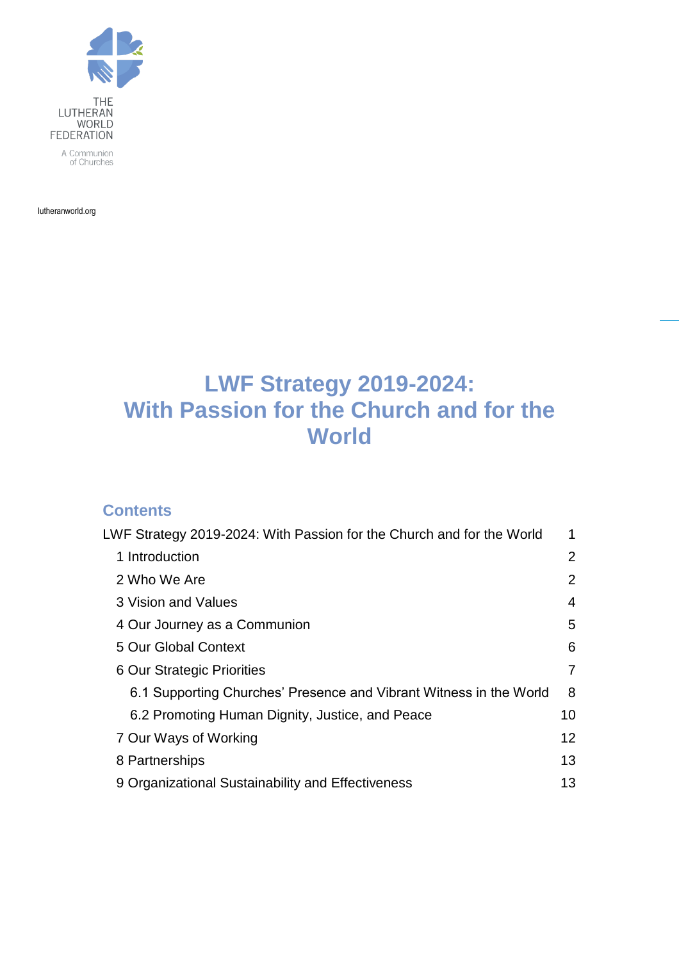

lutheranworld.org

# <span id="page-0-0"></span>**LWF Strategy 2019-2024: With Passion for the Church and for the World**

### **Contents**

| LWF Strategy 2019-2024: With Passion for the Church and for the World |                   |
|-----------------------------------------------------------------------|-------------------|
| 1 Introduction                                                        | 2                 |
| 2 Who We Are                                                          | $\overline{2}$    |
| 3 Vision and Values                                                   | 4                 |
| 4 Our Journey as a Communion                                          | 5                 |
| 5 Our Global Context                                                  | 6                 |
| 6 Our Strategic Priorities                                            | 7                 |
| 6.1 Supporting Churches' Presence and Vibrant Witness in the World    | 8                 |
| 6.2 Promoting Human Dignity, Justice, and Peace                       | 10                |
| 7 Our Ways of Working                                                 | $12 \overline{ }$ |
| 8 Partnerships                                                        | 13                |
| 9 Organizational Sustainability and Effectiveness                     | 13                |
|                                                                       |                   |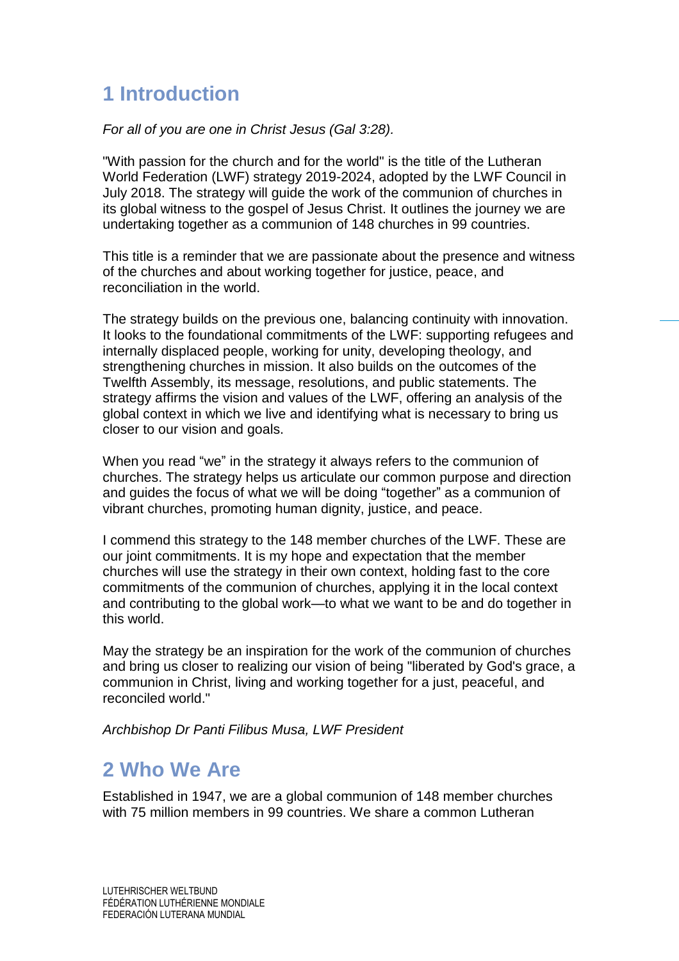# <span id="page-1-0"></span>**1 Introduction**

*For all of you are one in Christ Jesus (Gal 3:28).*

"With passion for the church and for the world" is the title of the Lutheran World Federation (LWF) strategy 2019-2024, adopted by the LWF Council in July 2018. The strategy will guide the work of the communion of churches in its global witness to the gospel of Jesus Christ. It outlines the journey we are undertaking together as a communion of 148 churches in 99 countries.

This title is a reminder that we are passionate about the presence and witness of the churches and about working together for justice, peace, and reconciliation in the world.

The strategy builds on the previous one, balancing continuity with innovation. It looks to the foundational commitments of the LWF: supporting refugees and internally displaced people, working for unity, developing theology, and strengthening churches in mission. It also builds on the outcomes of the Twelfth Assembly, its message, resolutions, and public statements. The strategy affirms the vision and values of the LWF, offering an analysis of the global context in which we live and identifying what is necessary to bring us closer to our vision and goals.

When you read "we" in the strategy it always refers to the communion of churches. The strategy helps us articulate our common purpose and direction and guides the focus of what we will be doing "together" as a communion of vibrant churches, promoting human dignity, justice, and peace.

I commend this strategy to the 148 member churches of the LWF. These are our joint commitments. It is my hope and expectation that the member churches will use the strategy in their own context, holding fast to the core commitments of the communion of churches, applying it in the local context and contributing to the global work—to what we want to be and do together in this world.

May the strategy be an inspiration for the work of the communion of churches and bring us closer to realizing our vision of being "liberated by God's grace, a communion in Christ, living and working together for a just, peaceful, and reconciled world."

*Archbishop Dr Panti Filibus Musa, LWF President* 

# <span id="page-1-1"></span>**2 Who We Are**

Established in 1947, we are a global communion of 148 member churches with 75 million members in 99 countries. We share a common Lutheran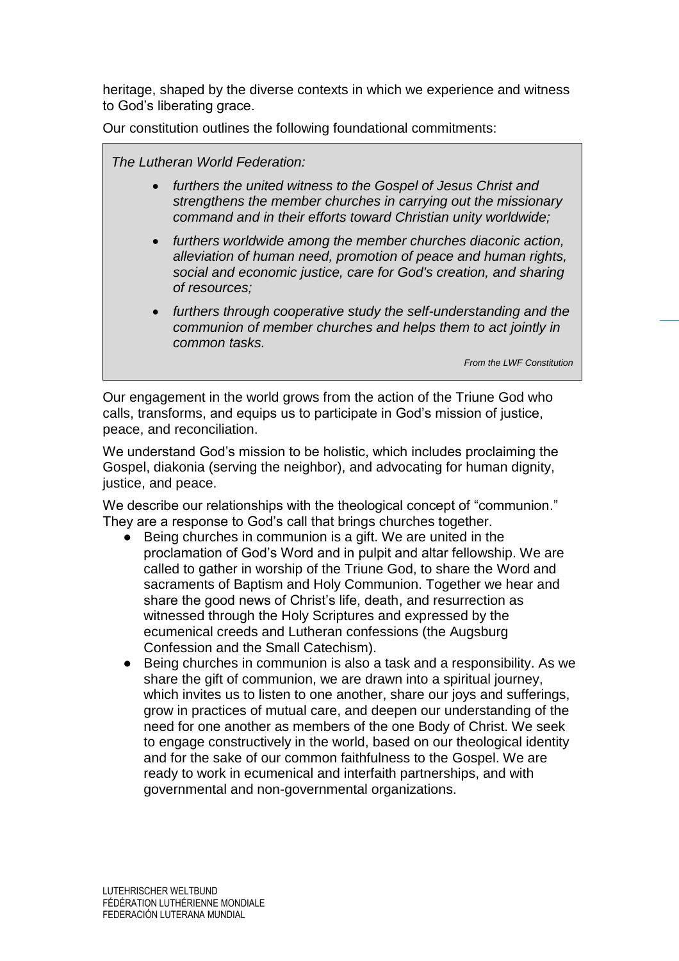heritage, shaped by the diverse contexts in which we experience and witness to God's liberating grace.

Our constitution outlines the following foundational commitments:

*The Lutheran World Federation:*

- *furthers the united witness to the Gospel of Jesus Christ and strengthens the member churches in carrying out the missionary command and in their efforts toward Christian unity worldwide;*
- *furthers worldwide among the member churches diaconic action, alleviation of human need, promotion of peace and human rights, social and economic justice, care for God's creation, and sharing of resources;*
- *furthers through cooperative study the self-understanding and the communion of member churches and helps them to act jointly in common tasks.*

*From the LWF Constitution*

Our engagement in the world grows from the action of the Triune God who calls, transforms, and equips us to participate in God's mission of justice, peace, and reconciliation.

We understand God's mission to be holistic, which includes proclaiming the Gospel, diakonia (serving the neighbor), and advocating for human dignity, justice, and peace.

We describe our relationships with the theological concept of "communion." They are a response to God's call that brings churches together.

- Being churches in communion is a gift. We are united in the proclamation of God's Word and in pulpit and altar fellowship. We are called to gather in worship of the Triune God, to share the Word and sacraments of Baptism and Holy Communion. Together we hear and share the good news of Christ's life, death, and resurrection as witnessed through the Holy Scriptures and expressed by the ecumenical creeds and Lutheran confessions (the Augsburg Confession and the Small Catechism).
- Being churches in communion is also a task and a responsibility. As we share the gift of communion, we are drawn into a spiritual journey, which invites us to listen to one another, share our joys and sufferings, grow in practices of mutual care, and deepen our understanding of the need for one another as members of the one Body of Christ. We seek to engage constructively in the world, based on our theological identity and for the sake of our common faithfulness to the Gospel. We are ready to work in ecumenical and interfaith partnerships, and with governmental and non-governmental organizations.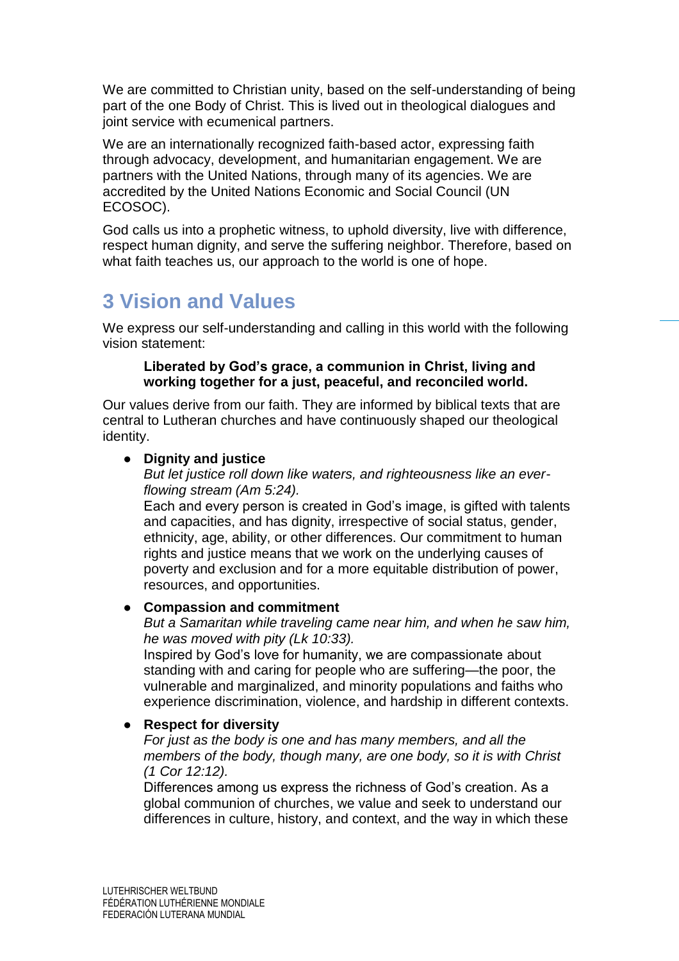We are committed to Christian unity, based on the self-understanding of being part of the one Body of Christ. This is lived out in theological dialogues and joint service with ecumenical partners.

We are an internationally recognized faith-based actor, expressing faith through advocacy, development, and humanitarian engagement. We are partners with the United Nations, through many of its agencies. We are accredited by the United Nations Economic and Social Council (UN ECOSOC).

God calls us into a prophetic witness, to uphold diversity, live with difference, respect human dignity, and serve the suffering neighbor. Therefore, based on what faith teaches us, our approach to the world is one of hope.

# <span id="page-3-0"></span>**3 Vision and Values**

We express our self-understanding and calling in this world with the following vision statement:

#### **Liberated by God's grace, a communion in Christ, living and working together for a just, peaceful, and reconciled world.**

Our values derive from our faith. They are informed by biblical texts that are central to Lutheran churches and have continuously shaped our theological identity.

### ● **Dignity and justice**

*But let justice roll down like waters, and righteousness like an everflowing stream (Am 5:24).*

Each and every person is created in God's image, is gifted with talents and capacities, and has dignity, irrespective of social status, gender, ethnicity, age, ability, or other differences. Our commitment to human rights and justice means that we work on the underlying causes of poverty and exclusion and for a more equitable distribution of power, resources, and opportunities.

### ● **Compassion and commitment**

*But a Samaritan while traveling came near him, and when he saw him, he was moved with pity (Lk 10:33).*

Inspired by God's love for humanity, we are compassionate about standing with and caring for people who are suffering—the poor, the vulnerable and marginalized, and minority populations and faiths who experience discrimination, violence, and hardship in different contexts.

### ● **Respect for diversity**

*For just as the body is one and has many members, and all the members of the body, though many, are one body, so it is with Christ (1 Cor 12:12).*

Differences among us express the richness of God's creation. As a global communion of churches, we value and seek to understand our differences in culture, history, and context, and the way in which these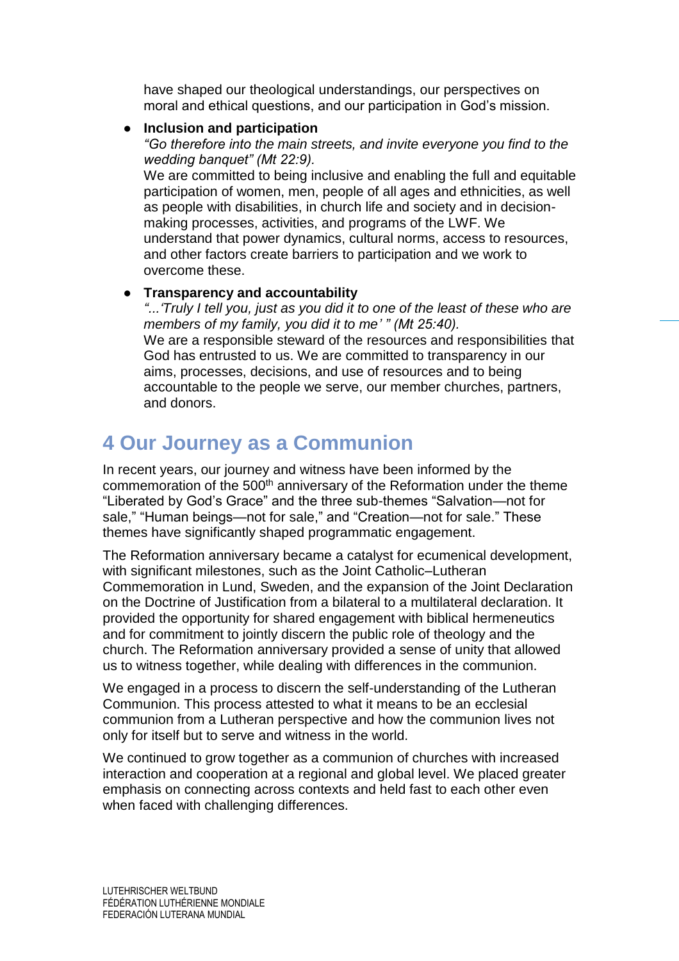have shaped our theological understandings, our perspectives on moral and ethical questions, and our participation in God's mission.

#### **Inclusion and participation**

*"Go therefore into the main streets, and invite everyone you find to the wedding banquet" (Mt 22:9).*

We are committed to being inclusive and enabling the full and equitable participation of women, men, people of all ages and ethnicities, as well as people with disabilities, in church life and society and in decisionmaking processes, activities, and programs of the LWF. We understand that power dynamics, cultural norms, access to resources, and other factors create barriers to participation and we work to overcome these.

### ● **Transparency and accountability**

*"...'Truly I tell you, just as you did it to one of the least of these who are members of my family, you did it to me' " (Mt 25:40).* We are a responsible steward of the resources and responsibilities that God has entrusted to us. We are committed to transparency in our aims, processes, decisions, and use of resources and to being accountable to the people we serve, our member churches, partners, and donors.

# <span id="page-4-0"></span>**4 Our Journey as a Communion**

In recent years, our journey and witness have been informed by the commemoration of the 500<sup>th</sup> anniversary of the Reformation under the theme "Liberated by God's Grace" and the three sub-themes "Salvation—not for sale," "Human beings—not for sale," and "Creation—not for sale." These themes have significantly shaped programmatic engagement.

The Reformation anniversary became a catalyst for ecumenical development, with significant milestones, such as the Joint Catholic–Lutheran Commemoration in Lund, Sweden, and the expansion of the Joint Declaration on the Doctrine of Justification from a bilateral to a multilateral declaration. It provided the opportunity for shared engagement with biblical hermeneutics and for commitment to jointly discern the public role of theology and the church. The Reformation anniversary provided a sense of unity that allowed us to witness together, while dealing with differences in the communion.

We engaged in a process to discern the self-understanding of the Lutheran Communion. This process attested to what it means to be an ecclesial communion from a Lutheran perspective and how the communion lives not only for itself but to serve and witness in the world.

We continued to grow together as a communion of churches with increased interaction and cooperation at a regional and global level. We placed greater emphasis on connecting across contexts and held fast to each other even when faced with challenging differences.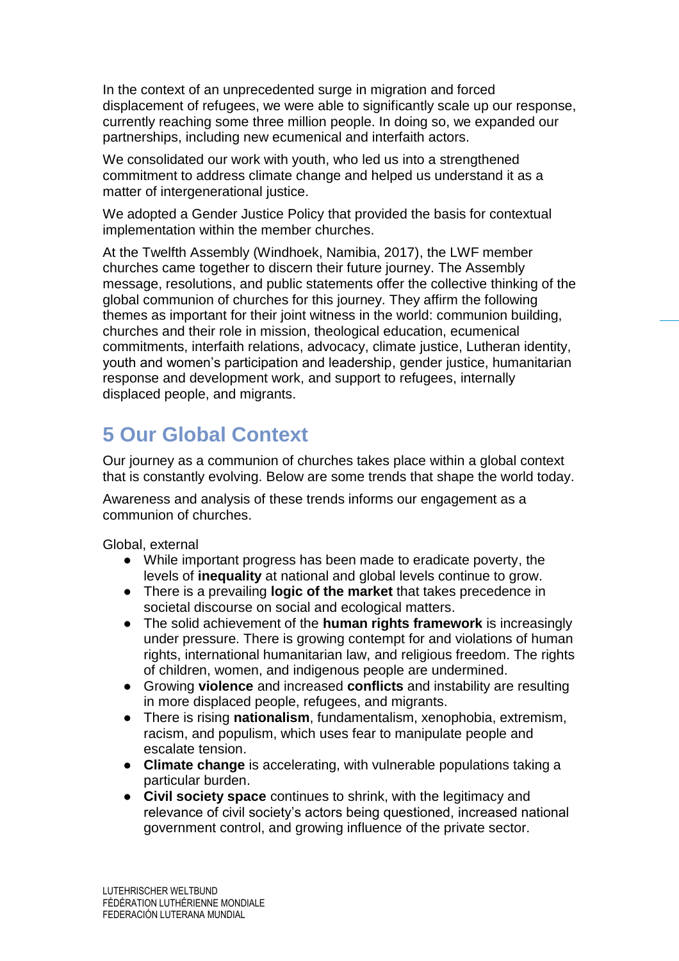In the context of an unprecedented surge in migration and forced displacement of refugees, we were able to significantly scale up our response, currently reaching some three million people. In doing so, we expanded our partnerships, including new ecumenical and interfaith actors.

We consolidated our work with youth, who led us into a strengthened commitment to address climate change and helped us understand it as a matter of intergenerational justice.

We adopted a Gender Justice Policy that provided the basis for contextual implementation within the member churches.

At the Twelfth Assembly (Windhoek, Namibia, 2017), the LWF member churches came together to discern their future journey. The Assembly message, resolutions, and public statements offer the collective thinking of the global communion of churches for this journey. They affirm the following themes as important for their joint witness in the world: communion building, churches and their role in mission, theological education, ecumenical commitments, interfaith relations, advocacy, climate justice, Lutheran identity, youth and women's participation and leadership, gender justice, humanitarian response and development work, and support to refugees, internally displaced people, and migrants.

# <span id="page-5-0"></span>**5 Our Global Context**

Our journey as a communion of churches takes place within a global context that is constantly evolving. Below are some trends that shape the world today.

Awareness and analysis of these trends informs our engagement as a communion of churches.

Global, external

- While important progress has been made to eradicate poverty, the levels of **inequality** at national and global levels continue to grow.
- There is a prevailing **logic of the market** that takes precedence in societal discourse on social and ecological matters.
- The solid achievement of the **human rights framework** is increasingly under pressure. There is growing contempt for and violations of human rights, international humanitarian law, and religious freedom. The rights of children, women, and indigenous people are undermined.
- Growing **violence** and increased **conflicts** and instability are resulting in more displaced people, refugees, and migrants.
- There is rising **nationalism**, fundamentalism, xenophobia, extremism, racism, and populism, which uses fear to manipulate people and escalate tension.
- **Climate change** is accelerating, with vulnerable populations taking a particular burden.
- **Civil society space** continues to shrink, with the legitimacy and relevance of civil society's actors being questioned, increased national government control, and growing influence of the private sector.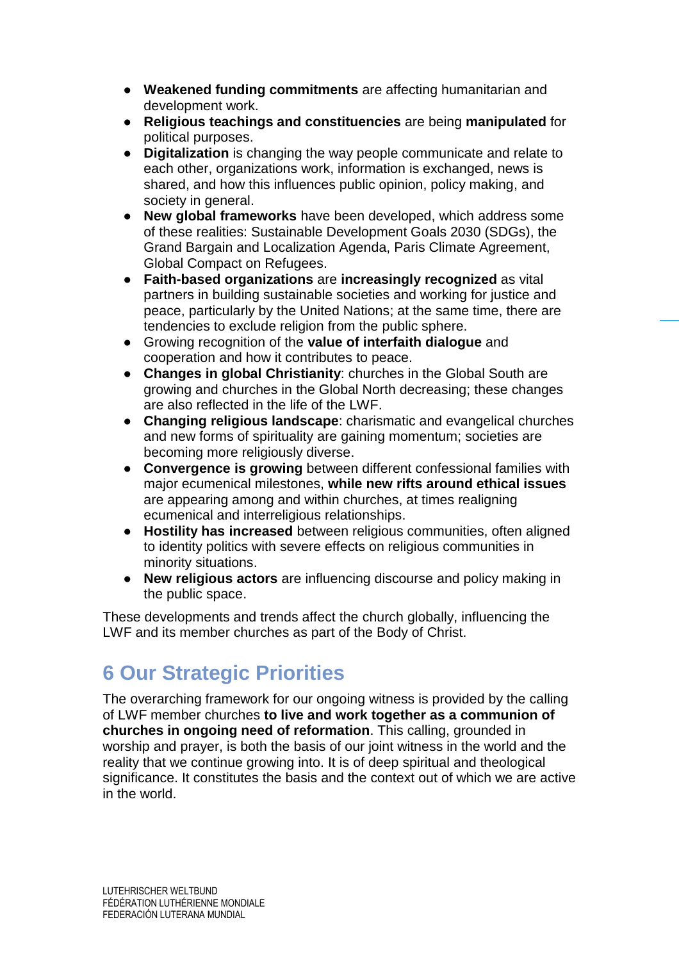- **Weakened funding commitments** are affecting humanitarian and development work.
- **Religious teachings and constituencies** are being **manipulated** for political purposes.
- **Digitalization** is changing the way people communicate and relate to each other, organizations work, information is exchanged, news is shared, and how this influences public opinion, policy making, and society in general.
- **New global frameworks** have been developed, which address some of these realities: Sustainable Development Goals 2030 (SDGs), the Grand Bargain and Localization Agenda, Paris Climate Agreement, Global Compact on Refugees.
- **Faith-based organizations** are **increasingly recognized** as vital partners in building sustainable societies and working for justice and peace, particularly by the United Nations; at the same time, there are tendencies to exclude religion from the public sphere.
- Growing recognition of the **value of interfaith dialogue** and cooperation and how it contributes to peace.
- **Changes in global Christianity**: churches in the Global South are growing and churches in the Global North decreasing; these changes are also reflected in the life of the LWF.
- **Changing religious landscape**: charismatic and evangelical churches and new forms of spirituality are gaining momentum; societies are becoming more religiously diverse.
- **Convergence is growing** between different confessional families with major ecumenical milestones, **while new rifts around ethical issues** are appearing among and within churches, at times realigning ecumenical and interreligious relationships.
- **Hostility has increased** between religious communities, often aligned to identity politics with severe effects on religious communities in minority situations.
- **New religious actors** are influencing discourse and policy making in the public space.

These developments and trends affect the church globally, influencing the LWF and its member churches as part of the Body of Christ.

# <span id="page-6-0"></span>**6 Our Strategic Priorities**

The overarching framework for our ongoing witness is provided by the calling of LWF member churches **to live and work together as a communion of churches in ongoing need of reformation**. This calling, grounded in worship and prayer, is both the basis of our joint witness in the world and the reality that we continue growing into. It is of deep spiritual and theological significance. It constitutes the basis and the context out of which we are active in the world.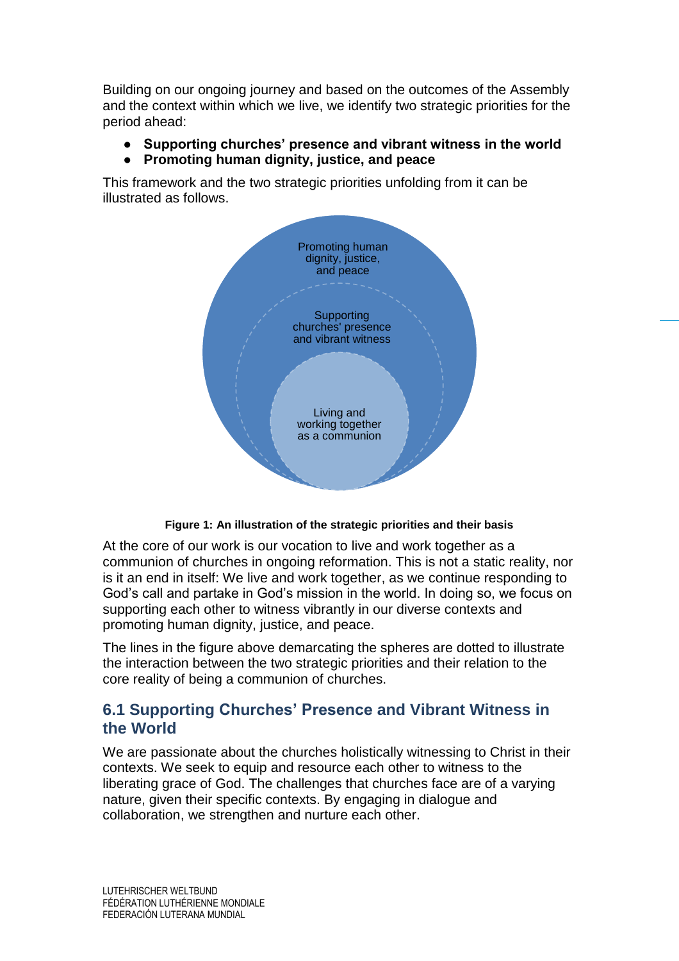Building on our ongoing journey and based on the outcomes of the Assembly and the context within which we live, we identify two strategic priorities for the period ahead:

- **Supporting churches' presence and vibrant witness in the world**
- **Promoting human dignity, justice, and peace**

This framework and the two strategic priorities unfolding from it can be illustrated as follows.



**Figure 1: An illustration of the strategic priorities and their basis**

At the core of our work is our vocation to live and work together as a communion of churches in ongoing reformation. This is not a static reality, nor is it an end in itself: We live and work together, as we continue responding to God's call and partake in God's mission in the world. In doing so, we focus on supporting each other to witness vibrantly in our diverse contexts and promoting human dignity, justice, and peace.

The lines in the figure above demarcating the spheres are dotted to illustrate the interaction between the two strategic priorities and their relation to the core reality of being a communion of churches.

## <span id="page-7-0"></span>**6.1 Supporting Churches' Presence and Vibrant Witness in the World**

We are passionate about the churches holistically witnessing to Christ in their contexts. We seek to equip and resource each other to witness to the liberating grace of God. The challenges that churches face are of a varying nature, given their specific contexts. By engaging in dialogue and collaboration, we strengthen and nurture each other.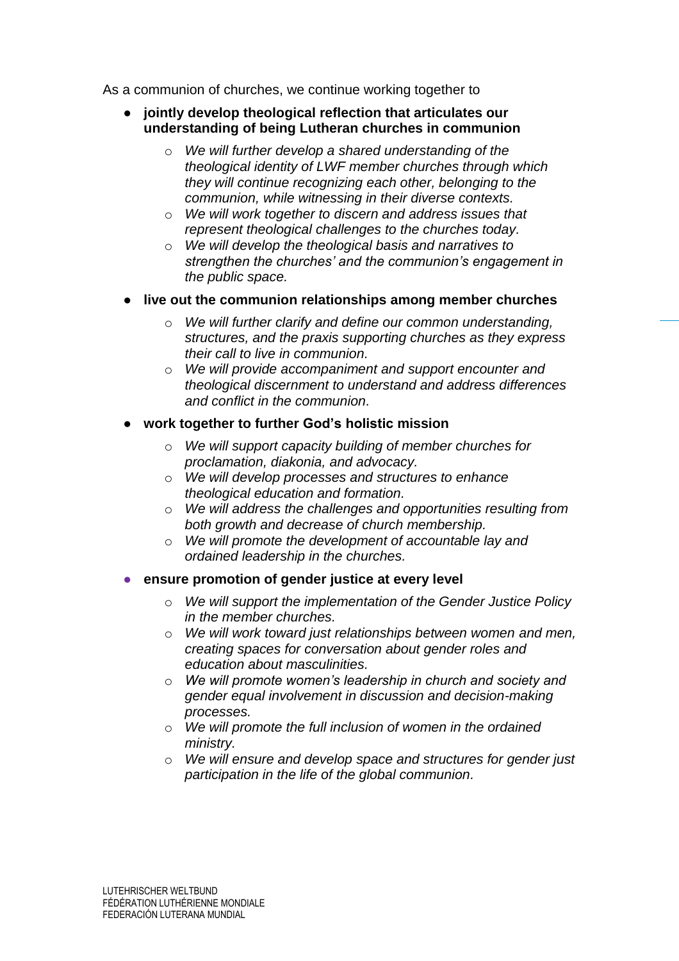As a communion of churches, we continue working together to

- **jointly develop theological reflection that articulates our understanding of being Lutheran churches in communion**
	- o *We will further develop a shared understanding of the theological identity of LWF member churches through which they will continue recognizing each other, belonging to the communion, while witnessing in their diverse contexts.*
	- o *We will work together to discern and address issues that represent theological challenges to the churches today.*
	- o *We will develop the theological basis and narratives to strengthen the churches' and the communion's engagement in the public space.*
- **live out the communion relationships among member churches** 
	- o *We will further clarify and define our common understanding, structures, and the praxis supporting churches as they express their call to live in communion.*
	- o *We will provide accompaniment and support encounter and theological discernment to understand and address differences and conflict in the communion.*
- **work together to further God's holistic mission** 
	- o *We will support capacity building of member churches for proclamation, diakonia, and advocacy.*
	- o *We will develop processes and structures to enhance theological education and formation.*
	- o *We will address the challenges and opportunities resulting from both growth and decrease of church membership.*
	- o *We will promote the development of accountable lay and ordained leadership in the churches.*
- ensure promotion of gender justice at every level
	- o *We will support the implementation of the Gender Justice Policy in the member churches.*
	- o *We will work toward just relationships between women and men, creating spaces for conversation about gender roles and education about masculinities.*
	- o *We will promote women's leadership in church and society and gender equal involvement in discussion and decision-making processes.*
	- o *We will promote the full inclusion of women in the ordained ministry.*
	- o *We will ensure and develop space and structures for gender just participation in the life of the global communion.*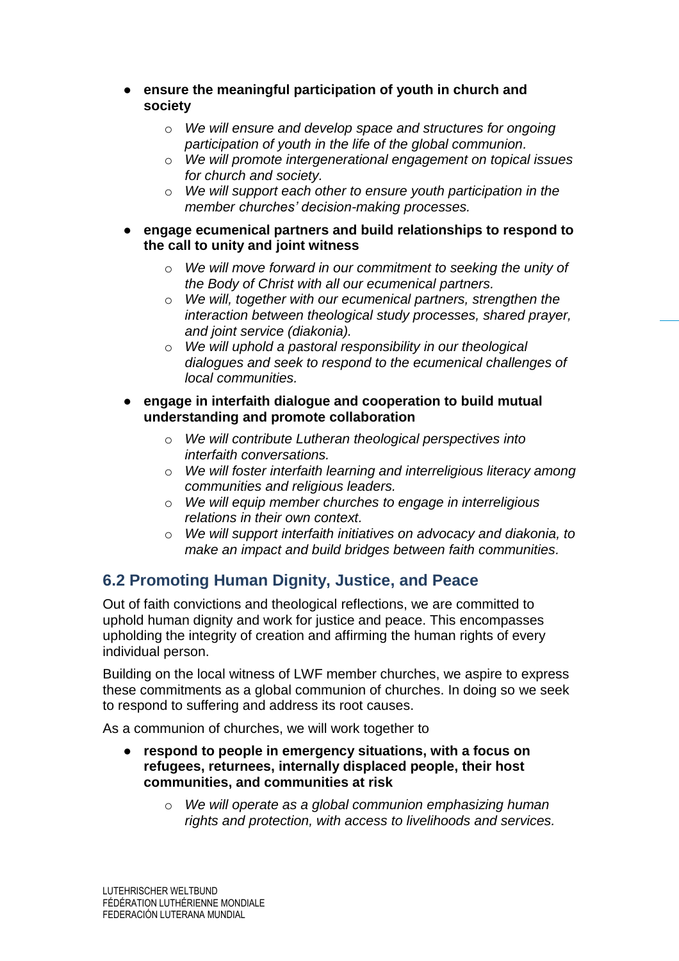- **ensure the meaningful participation of youth in church and society**
	- o *We will ensure and develop space and structures for ongoing participation of youth in the life of the global communion.*
	- o *We will promote intergenerational engagement on topical issues for church and society.*
	- o *We will support each other to ensure youth participation in the member churches' decision-making processes.*
- **engage ecumenical partners and build relationships to respond to the call to unity and joint witness**
	- o *We will move forward in our commitment to seeking the unity of the Body of Christ with all our ecumenical partners.*
	- o *We will, together with our ecumenical partners, strengthen the interaction between theological study processes, shared prayer, and joint service (diakonia).*
	- o *We will uphold a pastoral responsibility in our theological dialogues and seek to respond to the ecumenical challenges of local communities.*
- **engage in interfaith dialogue and cooperation to build mutual understanding and promote collaboration**
	- o *We will contribute Lutheran theological perspectives into interfaith conversations.*
	- o *We will foster interfaith learning and interreligious literacy among communities and religious leaders.*
	- o *We will equip member churches to engage in interreligious relations in their own context.*
	- o *We will support interfaith initiatives on advocacy and diakonia, to make an impact and build bridges between faith communities.*

## <span id="page-9-0"></span>**6.2 Promoting Human Dignity, Justice, and Peace**

Out of faith convictions and theological reflections, we are committed to uphold human dignity and work for justice and peace. This encompasses upholding the integrity of creation and affirming the human rights of every individual person.

Building on the local witness of LWF member churches, we aspire to express these commitments as a global communion of churches. In doing so we seek to respond to suffering and address its root causes.

As a communion of churches, we will work together to

- respond to people in emergency situations, with a focus on **refugees, returnees, internally displaced people, their host communities, and communities at risk**
	- o *We will operate as a global communion emphasizing human rights and protection, with access to livelihoods and services.*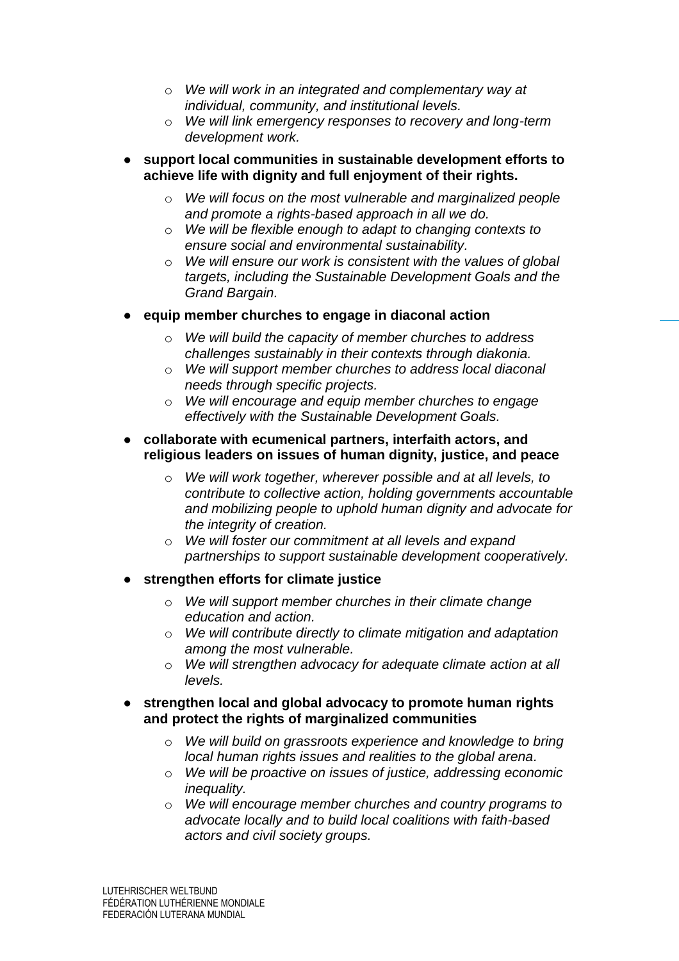- o *We will work in an integrated and complementary way at individual, community, and institutional levels.*
- o *We will link emergency responses to recovery and long-term development work.*
- **support local communities in sustainable development efforts to achieve life with dignity and full enjoyment of their rights.**
	- o *We will focus on the most vulnerable and marginalized people and promote a rights-based approach in all we do.*
	- o *We will be flexible enough to adapt to changing contexts to ensure social and environmental sustainability.*
	- o *We will ensure our work is consistent with the values of global targets, including the Sustainable Development Goals and the Grand Bargain.*
- equip member churches to engage in diaconal action
	- o *We will build the capacity of member churches to address challenges sustainably in their contexts through diakonia.*
	- o *We will support member churches to address local diaconal needs through specific projects.*
	- o *We will encourage and equip member churches to engage effectively with the Sustainable Development Goals.*
- **collaborate with ecumenical partners, interfaith actors, and religious leaders on issues of human dignity, justice, and peace**
	- o *We will work together, wherever possible and at all levels, to contribute to collective action, holding governments accountable and mobilizing people to uphold human dignity and advocate for the integrity of creation.*
	- o *We will foster our commitment at all levels and expand partnerships to support sustainable development cooperatively.*
- **strengthen efforts for climate justice** 
	- o *We will support member churches in their climate change education and action.*
	- o *We will contribute directly to climate mitigation and adaptation among the most vulnerable.*
	- o *We will strengthen advocacy for adequate climate action at all levels.*
- strengthen local and global advocacy to promote human rights **and protect the rights of marginalized communities**
	- o *We will build on grassroots experience and knowledge to bring local human rights issues and realities to the global arena.*
	- o *We will be proactive on issues of justice, addressing economic inequality.*
	- o *We will encourage member churches and country programs to advocate locally and to build local coalitions with faith-based actors and civil society groups.*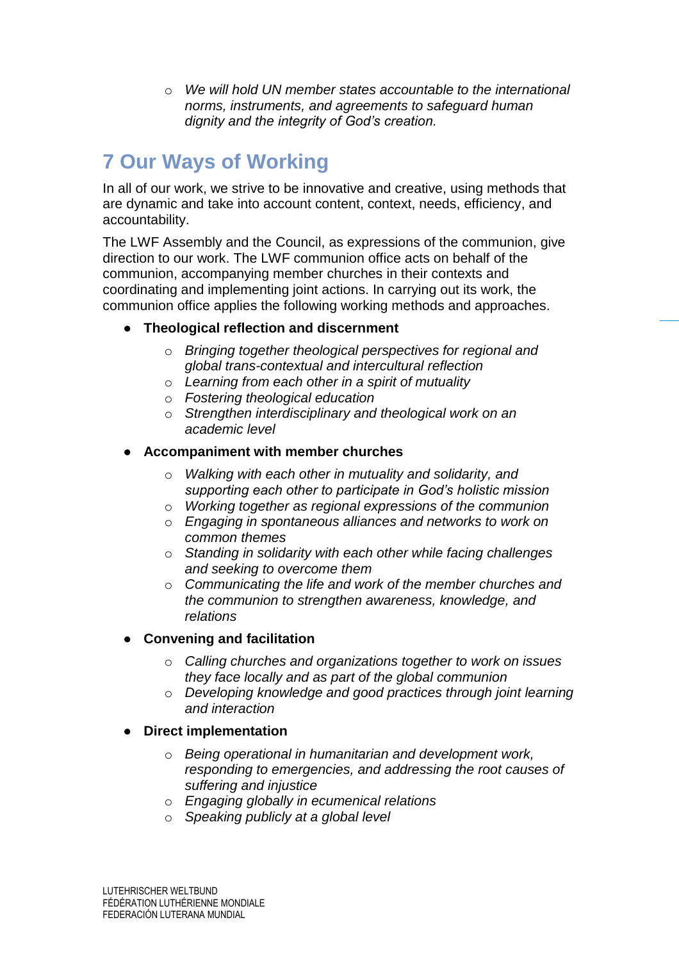o *We will hold UN member states accountable to the international norms, instruments, and agreements to safeguard human dignity and the integrity of God's creation.*

# <span id="page-11-0"></span>**7 Our Ways of Working**

In all of our work, we strive to be innovative and creative, using methods that are dynamic and take into account content, context, needs, efficiency, and accountability.

The LWF Assembly and the Council, as expressions of the communion, give direction to our work. The LWF communion office acts on behalf of the communion, accompanying member churches in their contexts and coordinating and implementing joint actions. In carrying out its work, the communion office applies the following working methods and approaches.

#### ● **Theological reflection and discernment**

- o *Bringing together theological perspectives for regional and global trans-contextual and intercultural reflection*
- o *Learning from each other in a spirit of mutuality*
- o *Fostering theological education*
- o *Strengthen interdisciplinary and theological work on an academic level*

#### Accompaniment with member churches

- o *Walking with each other in mutuality and solidarity, and supporting each other to participate in God's holistic mission*
- o *Working together as regional expressions of the communion*
- o *Engaging in spontaneous alliances and networks to work on common themes*
- o *Standing in solidarity with each other while facing challenges and seeking to overcome them*
- o *Communicating the life and work of the member churches and the communion to strengthen awareness, knowledge, and relations*

### ● **Convening and facilitation**

- o *Calling churches and organizations together to work on issues they face locally and as part of the global communion*
- o *Developing knowledge and good practices through joint learning and interaction*

#### **Direct implementation**

- o *Being operational in humanitarian and development work, responding to emergencies, and addressing the root causes of suffering and injustice*
- o *Engaging globally in ecumenical relations*
- o *Speaking publicly at a global level*

LUTEHRISCHER WELTBUND FÉDÉRATION LUTHÉRIENNE MONDIALE FEDERACIÓN LUTERANA MUNDIAL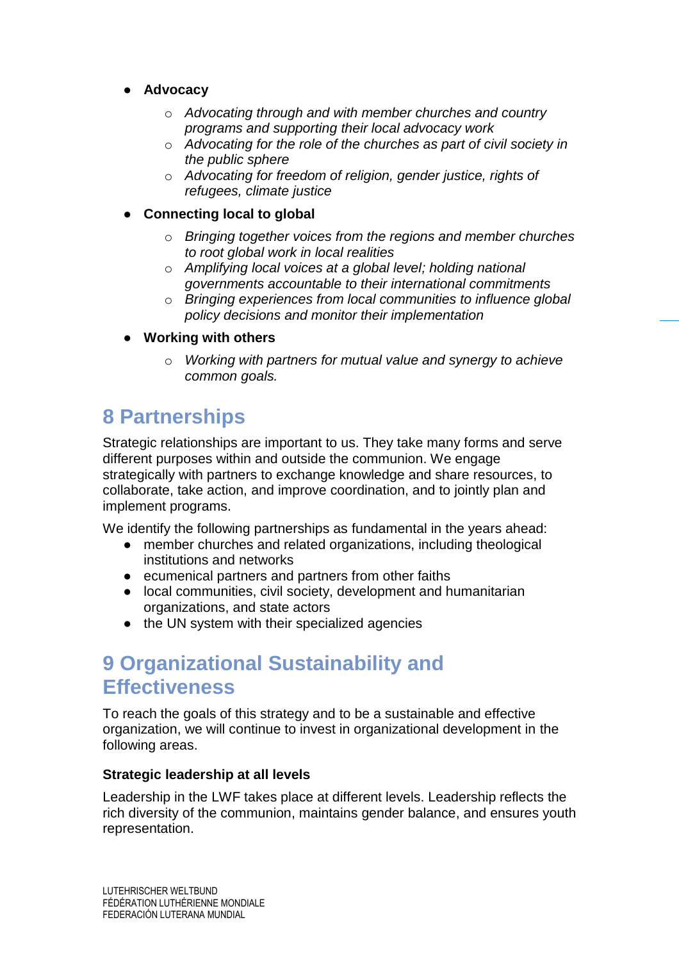- **Advocacy**
	- o *Advocating through and with member churches and country programs and supporting their local advocacy work*
	- o *Advocating for the role of the churches as part of civil society in the public sphere*
	- o *Advocating for freedom of religion, gender justice, rights of refugees, climate justice*

### **Connecting local to global**

- o *Bringing together voices from the regions and member churches to root global work in local realities*
- o *Amplifying local voices at a global level; holding national governments accountable to their international commitments*
- o *Bringing experiences from local communities to influence global policy decisions and monitor their implementation*
- **Working with others** 
	- o *Working with partners for mutual value and synergy to achieve common goals.*

# <span id="page-12-0"></span>**8 Partnerships**

Strategic relationships are important to us. They take many forms and serve different purposes within and outside the communion. We engage strategically with partners to exchange knowledge and share resources, to collaborate, take action, and improve coordination, and to jointly plan and implement programs.

We identify the following partnerships as fundamental in the years ahead:

- member churches and related organizations, including theological institutions and networks
- ecumenical partners and partners from other faiths
- local communities, civil society, development and humanitarian organizations, and state actors
- the UN system with their specialized agencies

# <span id="page-12-1"></span>**9 Organizational Sustainability and Effectiveness**

To reach the goals of this strategy and to be a sustainable and effective organization, we will continue to invest in organizational development in the following areas.

#### **Strategic leadership at all levels**

Leadership in the LWF takes place at different levels. Leadership reflects the rich diversity of the communion, maintains gender balance, and ensures youth representation.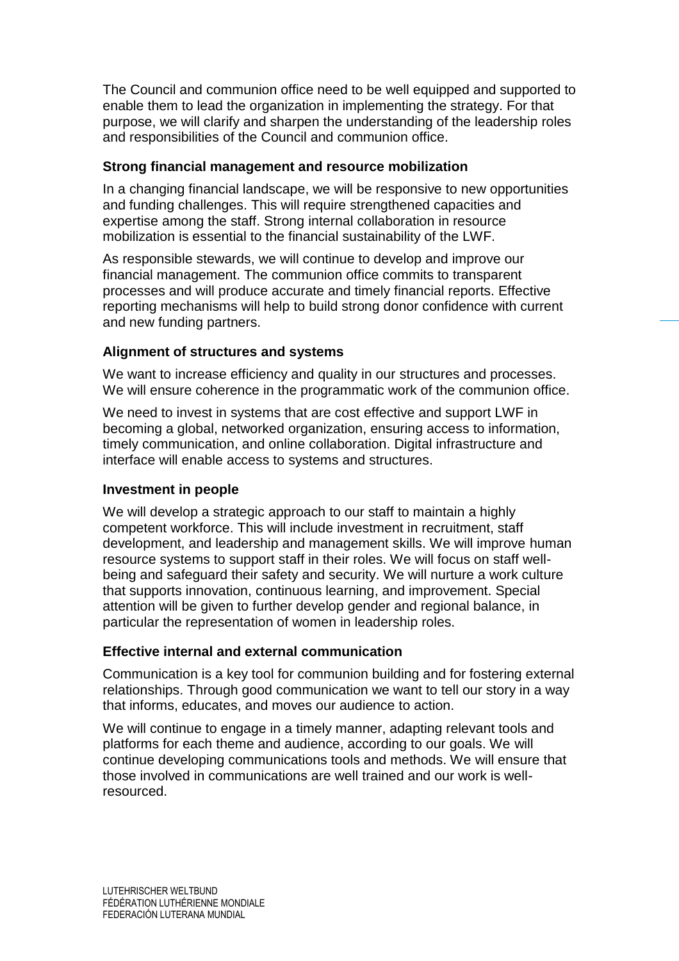The Council and communion office need to be well equipped and supported to enable them to lead the organization in implementing the strategy. For that purpose, we will clarify and sharpen the understanding of the leadership roles and responsibilities of the Council and communion office.

### **Strong financial management and resource mobilization**

In a changing financial landscape, we will be responsive to new opportunities and funding challenges. This will require strengthened capacities and expertise among the staff. Strong internal collaboration in resource mobilization is essential to the financial sustainability of the LWF.

As responsible stewards, we will continue to develop and improve our financial management. The communion office commits to transparent processes and will produce accurate and timely financial reports. Effective reporting mechanisms will help to build strong donor confidence with current and new funding partners.

### **Alignment of structures and systems**

We want to increase efficiency and quality in our structures and processes. We will ensure coherence in the programmatic work of the communion office.

We need to invest in systems that are cost effective and support LWF in becoming a global, networked organization, ensuring access to information, timely communication, and online collaboration. Digital infrastructure and interface will enable access to systems and structures.

### **Investment in people**

We will develop a strategic approach to our staff to maintain a highly competent workforce. This will include investment in recruitment, staff development, and leadership and management skills. We will improve human resource systems to support staff in their roles. We will focus on staff wellbeing and safeguard their safety and security. We will nurture a work culture that supports innovation, continuous learning, and improvement. Special attention will be given to further develop gender and regional balance, in particular the representation of women in leadership roles.

#### **Effective internal and external communication**

Communication is a key tool for communion building and for fostering external relationships. Through good communication we want to tell our story in a way that informs, educates, and moves our audience to action.

We will continue to engage in a timely manner, adapting relevant tools and platforms for each theme and audience, according to our goals. We will continue developing communications tools and methods. We will ensure that those involved in communications are well trained and our work is wellresourced.